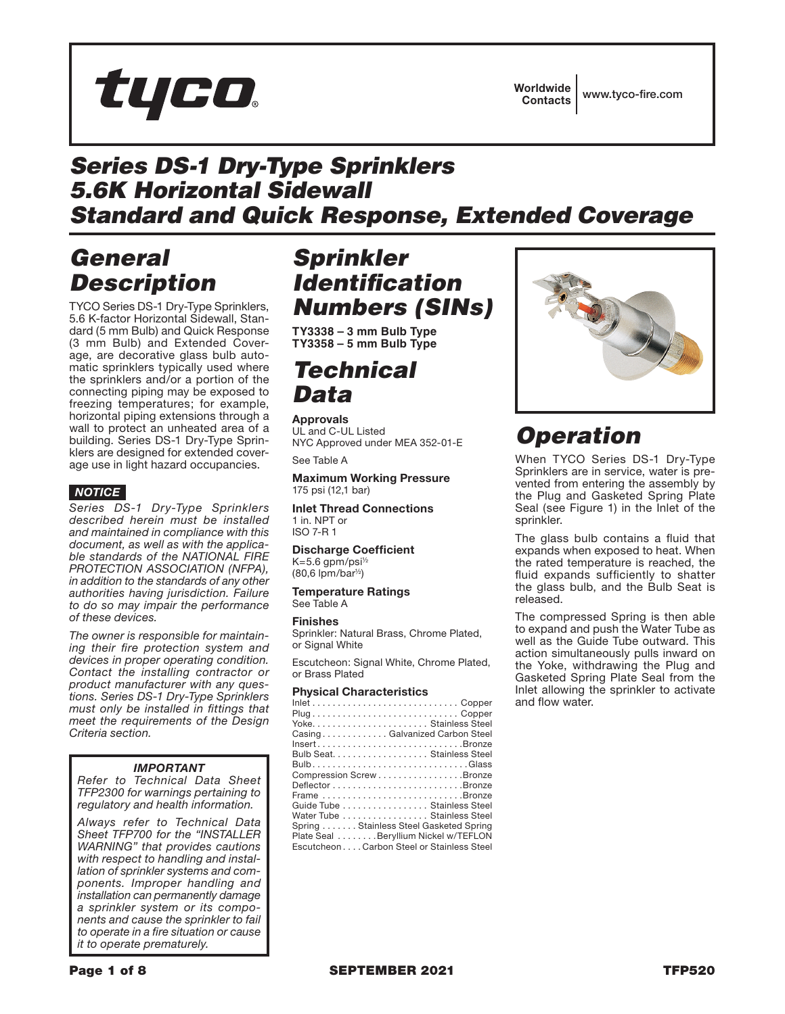

## *Series DS-1 Dry-Type Sprinklers 5.6K Horizontal Sidewall Standard and Quick Response, Extended Coverage*

# *General Description*

TYCO Series DS-1 Dry-Type Sprinklers, 5.6 K-factor Horizontal Sidewall, Standard (5 mm Bulb) and Quick Response (3 mm Bulb) and Extended Coverage, are decorative glass bulb automatic sprinklers typically used where the sprinklers and/or a portion of the connecting piping may be exposed to freezing temperatures; for example, horizontal piping extensions through a wall to protect an unheated area of a building. Series DS-1 Dry-Type Sprinklers are designed for extended coverage use in light hazard occupancies.

## *NOTICE*

*Series DS-1 Dry-Type Sprinklers described herein must be installed and maintained in compliance with this document, as well as with the applicable standards of the NATIONAL FIRE PROTECTION ASSOCIATION (NFPA), in addition to the standards of any other authorities having jurisdiction. Failure to do so may impair the performance of these devices.*

*The owner is responsible for maintaining their fire protection system and devices in proper operating condition. Contact the installing contractor or product manufacturer with any questions. Series DS-1 Dry-Type Sprinklers must only be installed in fittings that meet the requirements of the Design Criteria section.*

## *IMPORTANT*

*Refer to Technical Data Sheet TFP2300 for warnings pertaining to regulatory and health information.*

*Always refer to Technical Data Sheet TFP700 for the "INSTALLER WARNING" that provides cautions with respect to handling and installation of sprinkler systems and components. Improper handling and installation can permanently damage a sprinkler system or its components and cause the sprinkler to fail to operate in a fire situation or cause it to operate prematurely.*

# *Sprinkler Identification Numbers (SINs)*

**TY3338 – 3 mm Bulb Type TY3358 – 5 mm Bulb Type**

# *Technical Data*

Approvals UL and C-UL Listed NYC Approved under MEA 352-01-E

See Table A

### Maximum Working Pressure 175 psi (12,1 bar)

Inlet Thread Connections 1 in. NPT or ISO 7-R 1

Discharge Coefficient K=5.6 gpm/psi½ (80,6 lpm/bar½)

Temperature Ratings See Table A

### Finishes

Sprinkler: Natural Brass, Chrome Plated, or Signal White

Escutcheon: Signal White, Chrome Plated, or Brass Plated

### Physical Characteristics

| $Inlet \ldots \ldots \ldots \ldots \ldots \ldots \ldots \ldots \ldots$ . Copper |
|---------------------------------------------------------------------------------|
|                                                                                 |
|                                                                                 |
| CasingGalvanized Carbon Steel                                                   |
| InsertBronze                                                                    |
| Bulb Seat. Stainless Steel                                                      |
|                                                                                 |
| Compression Screw Bronze                                                        |
|                                                                                 |
| Frame Bronze                                                                    |
| Guide Tube Stainless Steel                                                      |
| Water Tube Stainless Steel                                                      |
| Spring  Stainless Steel Gasketed Spring                                         |
| Plate Seal Beryllium Nickel w/TEFLON                                            |
| EscutcheonCarbon Steel or Stainless Steel                                       |
|                                                                                 |



# *Operation*

When TYCO Series DS-1 Dry-Type Sprinklers are in service, water is prevented from entering the assembly by the Plug and Gasketed Spring Plate Seal (see Figure 1) in the Inlet of the sprinkler.

The glass bulb contains a fluid that expands when exposed to heat. When the rated temperature is reached, the fluid expands sufficiently to shatter the glass bulb, and the Bulb Seat is released.

The compressed Spring is then able to expand and push the Water Tube as well as the Guide Tube outward. This action simultaneously pulls inward on the Yoke, withdrawing the Plug and Gasketed Spring Plate Seal from the Inlet allowing the sprinkler to activate and flow water.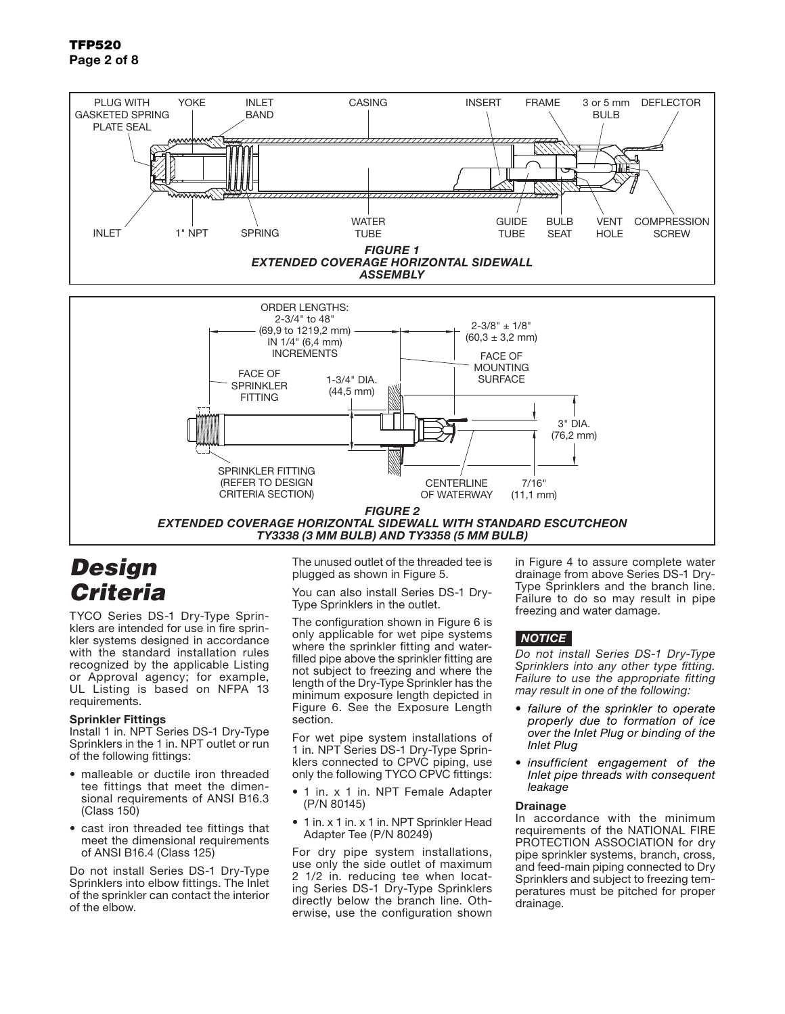

*FIGURE 2 EXTENDED COVERAGE HORIZONTAL SIDEWALL WITH STANDARD ESCUTCHEON TY3338 (3 MM BULB) AND TY3358 (5 MM BULB)*

OF WATERWAY

CRITERIA SECTION)

## *Design Criteria*

TYCO Series DS-1 Dry-Type Sprinklers are intended for use in fire sprinkler systems designed in accordance with the standard installation rules recognized by the applicable Listing or Approval agency; for example, UL Listing is based on NFPA 13 requirements.

### Sprinkler Fittings

Install 1 in. NPT Series DS-1 Dry-Type Sprinklers in the 1 in. NPT outlet or run of the following fittings:

- malleable or ductile iron threaded tee fittings that meet the dimensional requirements of ANSI B16.3 (Class 150)
- cast iron threaded tee fittings that meet the dimensional requirements of ANSI B16.4 (Class 125)

Do not install Series DS-1 Dry-Type Sprinklers into elbow fittings. The Inlet of the sprinkler can contact the interior of the elbow.

The unused outlet of the threaded tee is plugged as shown in Figure 5.

You can also install Series DS-1 Dry-Type Sprinklers in the outlet.

The configuration shown in Figure 6 is only applicable for wet pipe systems where the sprinkler fitting and waterfilled pipe above the sprinkler fitting are not subject to freezing and where the length of the Dry-Type Sprinkler has the minimum exposure length depicted in Figure 6. See the Exposure Length section.

For wet pipe system installations of 1 in. NPT Series DS-1 Dry-Type Sprinklers connected to CPVC piping, use only the following TYCO CPVC fittings:

- 1 in. x 1 in. NPT Female Adapter (P/N 80145)
- 1 in. x 1 in. x 1 in. NPT Sprinkler Head Adapter Tee (P/N 80249)

For dry pipe system installations, use only the side outlet of maximum 2 1/2 in. reducing tee when locating Series DS-1 Dry-Type Sprinklers directly below the branch line. Otherwise, use the configuration shown

in Figure 4 to assure complete water drainage from above Series DS-1 Dry-Type Sprinklers and the branch line. Failure to do so may result in pipe freezing and water damage.

### *NOTICE*

(11,1 mm)

*Do not install Series DS-1 Dry-Type Sprinklers into any other type fitting. Failure to use the appropriate fitting may result in one of the following:*

- *• failure of the sprinkler to operate properly due to formation of ice over the Inlet Plug or binding of the Inlet Plug*
- *• insufficient engagement of the Inlet pipe threads with consequent leakage*

### Drainage

In accordance with the minimum requirements of the NATIONAL FIRE PROTECTION ASSOCIATION for dry pipe sprinkler systems, branch, cross, and feed-main piping connected to Dry Sprinklers and subject to freezing temperatures must be pitched for proper drainage.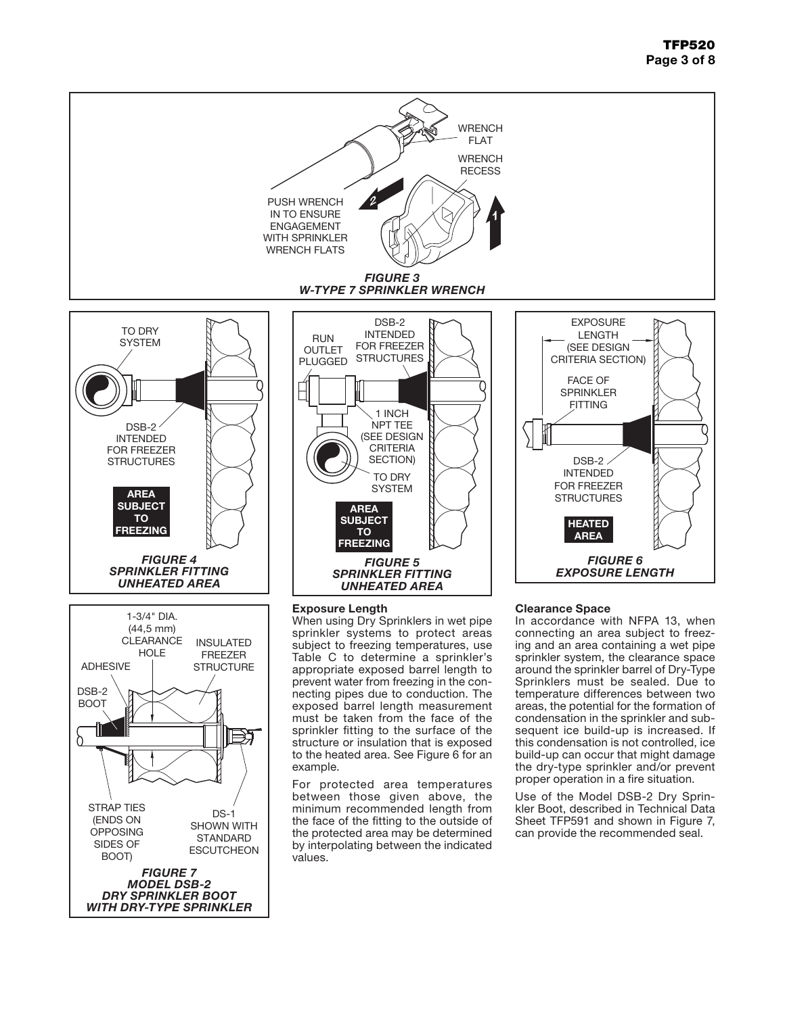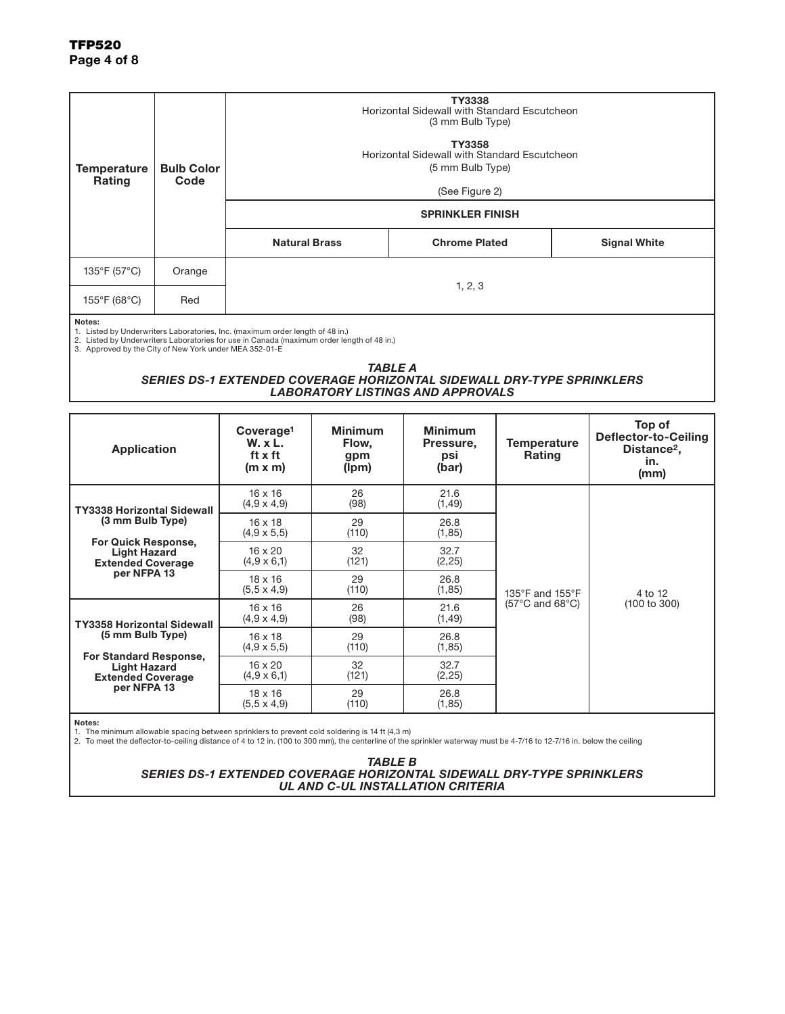| <b>Temperature</b><br><b>Rating</b>                              | <b>Bulb Color</b><br>Code |                                                                                                                                                                            | TY3338<br>Horizontal Sidewall with Standard Escutcheon<br>(3 mm Bulb Type) |                     |
|------------------------------------------------------------------|---------------------------|----------------------------------------------------------------------------------------------------------------------------------------------------------------------------|----------------------------------------------------------------------------|---------------------|
|                                                                  |                           | TY3358<br>Horizontal Sidewall with Standard Escutcheon<br>(5 mm Bulb Type)                                                                                                 |                                                                            |                     |
|                                                                  |                           | (See Figure 2)                                                                                                                                                             |                                                                            |                     |
|                                                                  |                           | <b>SPRINKLER FINISH</b>                                                                                                                                                    |                                                                            |                     |
|                                                                  |                           | <b>Natural Brass</b>                                                                                                                                                       | <b>Chrome Plated</b>                                                       | <b>Signal White</b> |
| 135°F (57°C)                                                     | Orange                    | 1, 2, 3                                                                                                                                                                    |                                                                            |                     |
| $155^{\circ}$ F (68 $^{\circ}$ C)                                | Red                       |                                                                                                                                                                            |                                                                            |                     |
| Notes:<br>3. Approved by the City of New York under MEA 352-01-E |                           | 1. Listed by Underwriters Laboratories, Inc. (maximum order length of 48 in.)<br>2. Listed by Underwriters Laboratories for use in Canada (maximum order length of 48 in.) |                                                                            |                     |

#### *TABLE A*

### *SERIES DS-1 EXTENDED COVERAGE HORIZONTAL SIDEWALL DRY-TYPE SPRINKLERS LABORATORY LISTINGS AND APPROVALS*

| <b>Application</b>                                                               | Coverage <sup>1</sup><br><b>W.</b> x L.<br>ft x ft<br>$(m \times m)$ | <b>Minimum</b><br>Flow,<br>gpm<br>(lpm) | <b>Minimum</b><br>Pressure,<br>psi<br>(bar) | Temperature<br>Rating                                   | Top of<br>Deflector-to-Ceiling<br>Distance <sup>2</sup> ,<br>in.<br>(mm) |
|----------------------------------------------------------------------------------|----------------------------------------------------------------------|-----------------------------------------|---------------------------------------------|---------------------------------------------------------|--------------------------------------------------------------------------|
| <b>TY3338 Horizontal Sidewall</b>                                                | $16 \times 16$<br>$(4,9 \times 4,9)$                                 | 26<br>(98)                              | 21.6<br>(1, 49)                             | 135°F and 155°F<br>$(57^{\circ}$ C and 68 $^{\circ}$ C) | 4 to 12<br>(100 to 300)                                                  |
| (3 mm Bulb Type)                                                                 | $16 \times 18$<br>$(4,9 \times 5,5)$                                 | 29<br>(110)                             | 26.8<br>(1, 85)                             |                                                         |                                                                          |
| <b>For Quick Response,</b><br><b>Light Hazard</b><br><b>Extended Coverage</b>    | $16 \times 20$<br>$(4,9 \times 6,1)$                                 | 32<br>(121)                             | 32.7<br>(2,25)                              |                                                         |                                                                          |
| per NFPA 13                                                                      | $18 \times 16$<br>$(5.5 \times 4.9)$                                 | 29<br>(110)                             | 26.8<br>(1, 85)                             |                                                         |                                                                          |
| <b>TY3358 Horizontal Sidewall</b>                                                | $16 \times 16$<br>$(4,9 \times 4,9)$                                 | 26<br>(98)                              | 21.6<br>(1, 49)                             |                                                         |                                                                          |
| (5 mm Bulb Type)                                                                 | $16 \times 18$<br>$(4.9 \times 5.5)$                                 | 29<br>(110)                             | 26.8<br>(1, 85)                             |                                                         |                                                                          |
| <b>For Standard Response,</b><br><b>Light Hazard</b><br><b>Extended Coverage</b> | $16 \times 20$<br>$(4,9 \times 6,1)$                                 | 32<br>(121)                             | 32.7<br>(2, 25)                             |                                                         |                                                                          |
| per NFPA 13                                                                      | $18 \times 16$<br>$(5.5 \times 4.9)$                                 | 29<br>(110)                             | 26.8<br>(1, 85)                             |                                                         |                                                                          |

Notes:

1. The minimum allowable spacing between sprinklers to prevent cold soldering is 14 ft (4,3 m)<br>2. To meet the deflector-to-ceiling distance of 4 to 12 in. (100 to 300 mm), the centerline of the sprinkler waterway must be

*TABLE B SERIES DS-1 EXTENDED COVERAGE HORIZONTAL SIDEWALL DRY-TYPE SPRINKLERS UL AND C-UL INSTALLATION CRITERIA*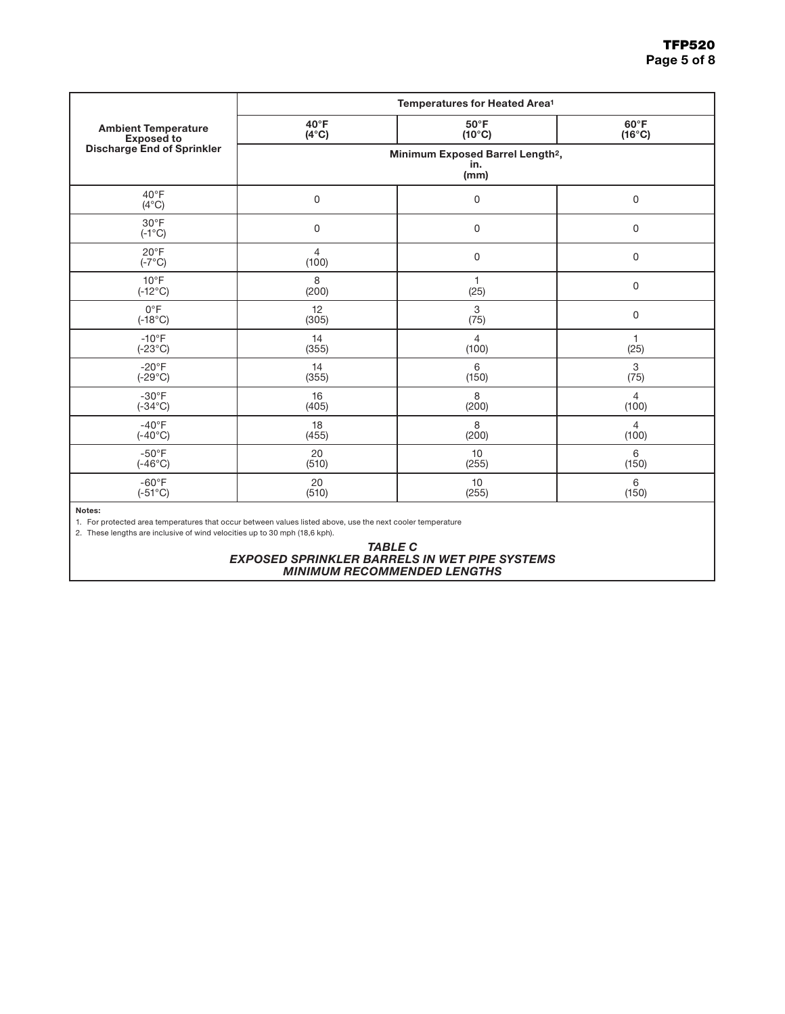|                                   | Temperatures for Heated Area <sup>1</sup>                   |                 |                 |  |
|-----------------------------------|-------------------------------------------------------------|-----------------|-----------------|--|
| <b>Ambient Temperature</b>        | $40^{\circ}$ F                                              | $50^{\circ}$ F  | $60^{\circ}$ F  |  |
| <b>Exposed to</b>                 | $(4^{\circ}C)$                                              | $(10^{\circ}C)$ | $(16^{\circ}C)$ |  |
| <b>Discharge End of Sprinkler</b> | Minimum Exposed Barrel Length <sup>2</sup> ,<br>in.<br>(mm) |                 |                 |  |
| $40^{\circ}$ F<br>$(4^{\circ}C)$  | $\mathsf 0$                                                 | $\mathbf 0$     | 0               |  |
| $30^{\circ}$ F<br>$(-1^{\circ}C)$ | $\mathsf 0$                                                 | 0               | 0               |  |
| $20^{\circ}$ F<br>$(-7^{\circ}C)$ | $\overline{4}$<br>(100)                                     | 0               | 0               |  |
| $10^{\circ}$ F                    | 8                                                           | $\mathbf{1}$    | 0               |  |
| $(-12^{\circ}C)$                  | (200)                                                       | (25)            |                 |  |
| $0^{\circ}F$                      | 12                                                          | 3               | 0               |  |
| $(-18^{\circ}C)$                  | (305)                                                       | (75)            |                 |  |
| $-10^{\circ}$ F                   | 14                                                          | $\overline{4}$  | $\mathbf{1}$    |  |
| $(-23^{\circ}C)$                  | (355)                                                       | (100)           | (25)            |  |
| $-20^{\circ}F$                    | 14                                                          | 6               | 3               |  |
| $(-29^{\circ}C)$                  | (355)                                                       | (150)           | (75)            |  |
| $-30^{\circ}$ F                   | 16                                                          | 8               | $\overline{4}$  |  |
| $(-34^{\circ}C)$                  | (405)                                                       | (200)           | (100)           |  |
| $-40^{\circ}$ F                   | 18                                                          | 8               | $\overline{4}$  |  |
| $(-40^{\circ}C)$                  | (455)                                                       | (200)           | (100)           |  |
| $-50^{\circ}$ F                   | 20                                                          | 10              | 6               |  |
| $(-46^{\circ}C)$                  | (510)                                                       | (255)           | (150)           |  |
| $-60^{\circ}F$                    | 20                                                          | 10              | 6               |  |
| $(-51^{\circ}C)$                  | (510)                                                       | (255)           | (150)           |  |

#### Notes:

1. For protected area temperatures that occur between values listed above, use the next cooler temperature

2. These lengths are inclusive of wind velocities up to 30 mph (18,6 kph).

#### *TABLE C EXPOSED SPRINKLER BARRELS IN WET PIPE SYSTEMS MINIMUM RECOMMENDED LENGTHS*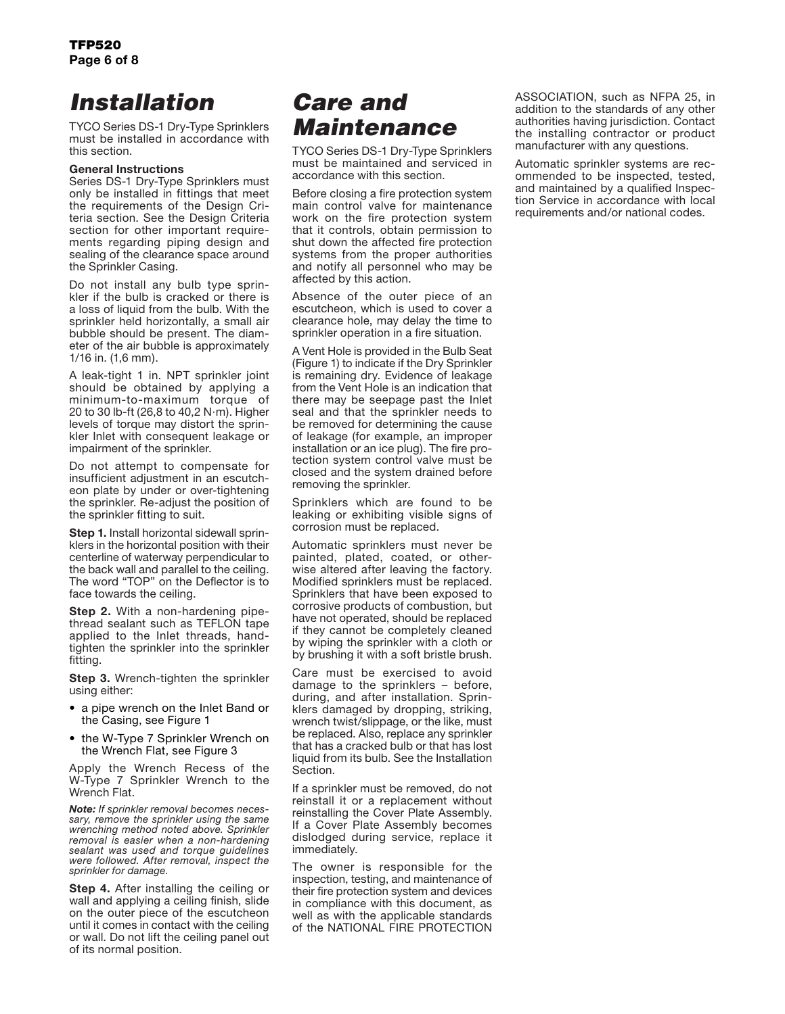# *Installation*

TYCO Series DS-1 Dry-Type Sprinklers must be installed in accordance with this section.

### General Instructions

Series DS-1 Dry-Type Sprinklers must only be installed in fittings that meet the requirements of the Design Criteria section. See the Design Criteria section for other important requirements regarding piping design and sealing of the clearance space around the Sprinkler Casing.

Do not install any bulb type sprinkler if the bulb is cracked or there is a loss of liquid from the bulb. With the sprinkler held horizontally, a small air bubble should be present. The diameter of the air bubble is approximately 1/16 in. (1,6 mm).

A leak-tight 1 in. NPT sprinkler joint should be obtained by applying a minimum-to-maximum torque of 20 to 30 lb-ft (26,8 to 40,2 N·m). Higher levels of torque may distort the sprinkler Inlet with consequent leakage or impairment of the sprinkler.

Do not attempt to compensate for insufficient adjustment in an escutcheon plate by under or over-tightening the sprinkler. Re-adjust the position of the sprinkler fitting to suit.

**Step 1.** Install horizontal sidewall sprinklers in the horizontal position with their centerline of waterway perpendicular to the back wall and parallel to the ceiling. The word "TOP" on the Deflector is to face towards the ceiling.

**Step 2.** With a non-hardening pipethread sealant such as TEFLON tape applied to the Inlet threads, handtighten the sprinkler into the sprinkler fitting.

**Step 3.** Wrench-tighten the sprinkler using either:

- a pipe wrench on the Inlet Band or the Casing, see Figure 1
- the W-Type 7 Sprinkler Wrench on the Wrench Flat, see Figure 3

Apply the Wrench Recess of the W-Type 7 Sprinkler Wrench to the Wrench Flat.

*Note: If sprinkler removal becomes necessary, remove the sprinkler using the same wrenching method noted above. Sprinkler removal is easier when a non-hardening sealant was used and torque guidelines were followed. After removal, inspect the sprinkler for damage.*

**Step 4.** After installing the ceiling or wall and applying a ceiling finish, slide on the outer piece of the escutcheon until it comes in contact with the ceiling or wall. Do not lift the ceiling panel out of its normal position.

# *Care and Maintenance*

TYCO Series DS-1 Dry-Type Sprinklers must be maintained and serviced in accordance with this section.

Before closing a fire protection system main control valve for maintenance work on the fire protection system that it controls, obtain permission to shut down the affected fire protection systems from the proper authorities and notify all personnel who may be affected by this action.

Absence of the outer piece of an escutcheon, which is used to cover a clearance hole, may delay the time to sprinkler operation in a fire situation.

A Vent Hole is provided in the Bulb Seat (Figure 1) to indicate if the Dry Sprinkler is remaining dry. Evidence of leakage from the Vent Hole is an indication that there may be seepage past the Inlet seal and that the sprinkler needs to be removed for determining the cause of leakage (for example, an improper installation or an ice plug). The fire protection system control valve must be closed and the system drained before removing the sprinkler.

Sprinklers which are found to be leaking or exhibiting visible signs of corrosion must be replaced.

Automatic sprinklers must never be painted, plated, coated, or otherwise altered after leaving the factory. Modified sprinklers must be replaced. Sprinklers that have been exposed to corrosive products of combustion, but have not operated, should be replaced if they cannot be completely cleaned by wiping the sprinkler with a cloth or by brushing it with a soft bristle brush.

Care must be exercised to avoid damage to the sprinklers – before, during, and after installation. Sprinklers damaged by dropping, striking, wrench twist/slippage, or the like, must be replaced. Also, replace any sprinkler that has a cracked bulb or that has lost liquid from its bulb. See the Installation Section.

If a sprinkler must be removed, do not reinstall it or a replacement without reinstalling the Cover Plate Assembly. If a Cover Plate Assembly becomes dislodged during service, replace it immediately.

The owner is responsible for the inspection, testing, and maintenance of their fire protection system and devices in compliance with this document, as well as with the applicable standards of the NATIONAL FIRE PROTECTION ASSOCIATION, such as NFPA 25, in addition to the standards of any other authorities having jurisdiction. Contact the installing contractor or product manufacturer with any questions.

Automatic sprinkler systems are recommended to be inspected, tested, and maintained by a qualified Inspection Service in accordance with local requirements and/or national codes.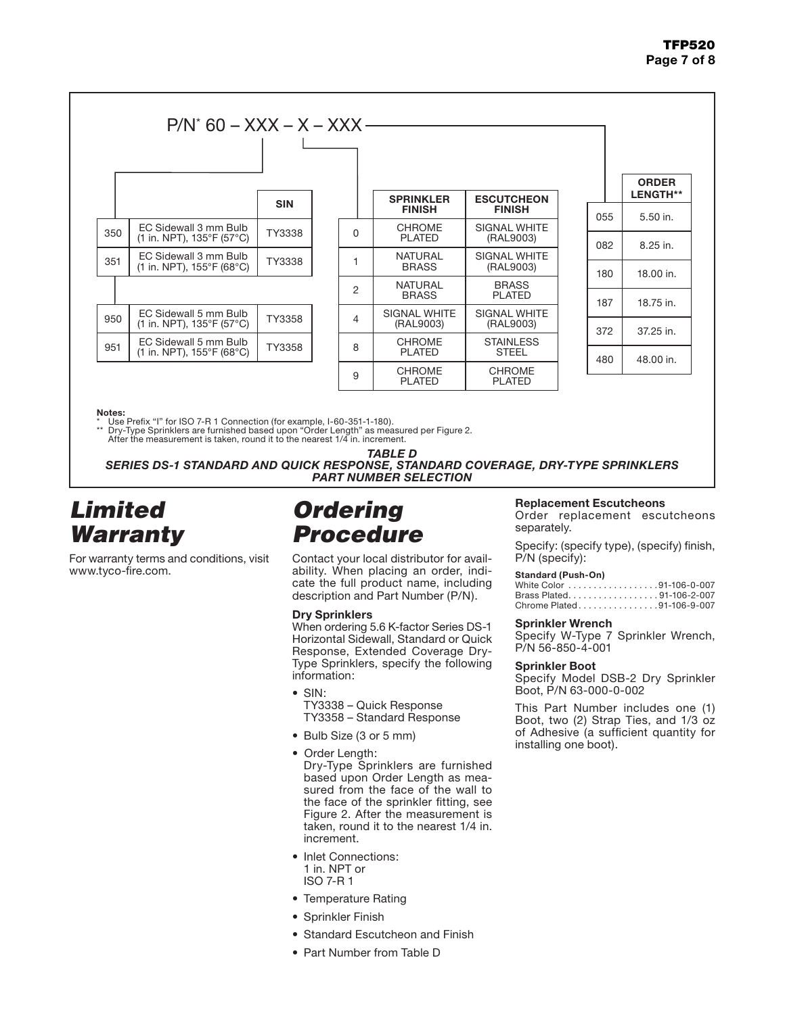## TFP520 Page 7 of 8



Notes:

Use Prefix "I" for ISO 7-R 1 Connection (for example, I-60-351-1-180).

\*\* Dry-Type Sprinklers are furnished based upon "Order Length" as measured per Figure 2. After the measurement is taken, round it to the nearest 1/4 in. increment.

*TABLE D SERIES DS-1 STANDARD AND QUICK RESPONSE, STANDARD COVERAGE, DRY-TYPE SPRINKLERS PART NUMBER SELECTION*

## *Limited Warranty*

For warranty terms and conditions, visit www.tyco-fire.com.

# *Ordering Procedure*

Contact your local distributor for availability. When placing an order, indicate the full product name, including description and Part Number (P/N).

### Dry Sprinklers

When ordering 5.6 K-factor Series DS-1 Horizontal Sidewall, Standard or Quick Response, Extended Coverage Dry-Type Sprinklers, specify the following information:

- SIN:
	- TY3338 Quick Response TY3358 – Standard Response
- Bulb Size (3 or 5 mm)
- Order Length: Dry-Type Sprinklers are furnished based upon Order Length as measured from the face of the wall to the face of the sprinkler fitting, see Figure 2. After the measurement is taken, round it to the nearest 1/4 in. increment.
- Inlet Connections: 1 in. NPT or ISO 7-R 1
- Temperature Rating
- Sprinkler Finish
- Standard Escutcheon and Finish
- Part Number from Table D

### Replacement Escutcheons

Order replacement escutcheons separately.

Specify: (specify type), (specify) finish, P/N (specify):

### **Standard (Push-On)**

| White Color 91-106-0-007   |  |
|----------------------------|--|
| Brass Plated. 91-106-2-007 |  |
| Chrome Plated91-106-9-007  |  |

### Sprinkler Wrench

Specify W-Type 7 Sprinkler Wrench, P/N 56-850-4-001

### Sprinkler Boot

Specify Model DSB-2 Dry Sprinkler Boot, P/N 63-000-0-002

This Part Number includes one (1) Boot, two (2) Strap Ties, and 1/3 oz of Adhesive (a sufficient quantity for installing one boot).